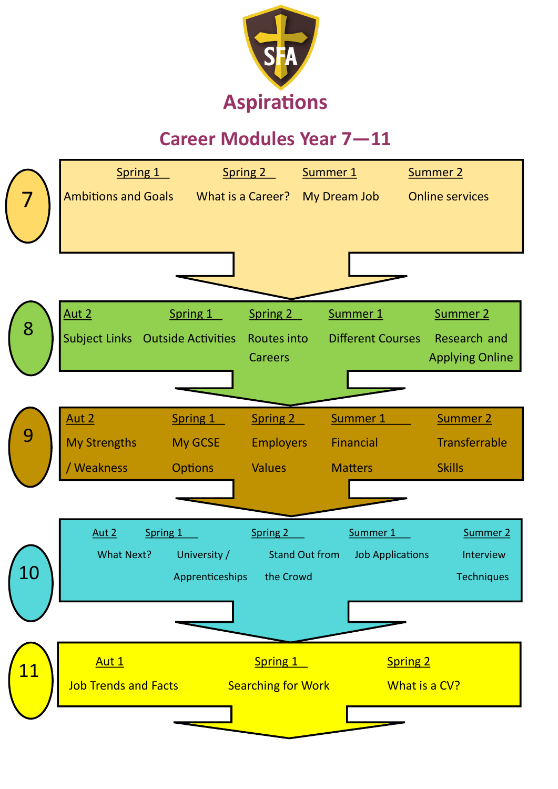

## **Career Modules Year 7—11**